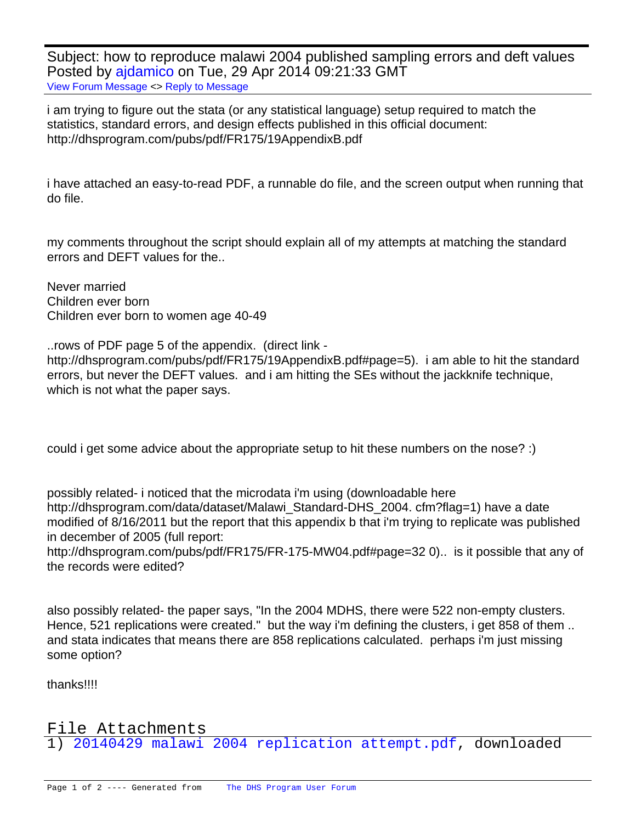Subject: how to reproduce malawi 2004 published sampling errors and deft values Posted by [ajdamico](https://userforum.dhsprogram.com/index.php?t=usrinfo&id=1848) on Tue, 29 Apr 2014 09:21:33 GMT [View Forum Message](https://userforum.dhsprogram.com/index.php?t=rview&th=1211&goto=2105#msg_2105) <> [Reply to Message](https://userforum.dhsprogram.com/index.php?t=post&reply_to=2105)

i am trying to figure out the stata (or any statistical language) setup required to match the statistics, standard errors, and design effects published in this official document: http://dhsprogram.com/pubs/pdf/FR175/19AppendixB.pdf

i have attached an easy-to-read PDF, a runnable do file, and the screen output when running that do file.

my comments throughout the script should explain all of my attempts at matching the standard errors and DEFT values for the..

Never married Children ever born Children ever born to women age 40-49

..rows of PDF page 5 of the appendix. (direct link -

http://dhsprogram.com/pubs/pdf/FR175/19AppendixB.pdf#page=5). i am able to hit the standard errors, but never the DEFT values. and i am hitting the SEs without the jackknife technique, which is not what the paper says.

could i get some advice about the appropriate setup to hit these numbers on the nose? :)

possibly related- i noticed that the microdata i'm using (downloadable here http://dhsprogram.com/data/dataset/Malawi\_Standard-DHS\_2004. cfm?flag=1) have a date modified of 8/16/2011 but the report that this appendix b that i'm trying to replicate was published in december of 2005 (full report:

http://dhsprogram.com/pubs/pdf/FR175/FR-175-MW04.pdf#page=32 0).. is it possible that any of the records were edited?

also possibly related- the paper says, "In the 2004 MDHS, there were 522 non-empty clusters. Hence, 521 replications were created." but the way i'm defining the clusters, i get 858 of them .. and stata indicates that means there are 858 replications calculated. perhaps i'm just missing some option?

thanks!!!!

File Attachments

1) [20140429 malawi 2004 replication attempt.pdf](https://userforum.dhsprogram.com/index.php?t=getfile&id=281), downloaded